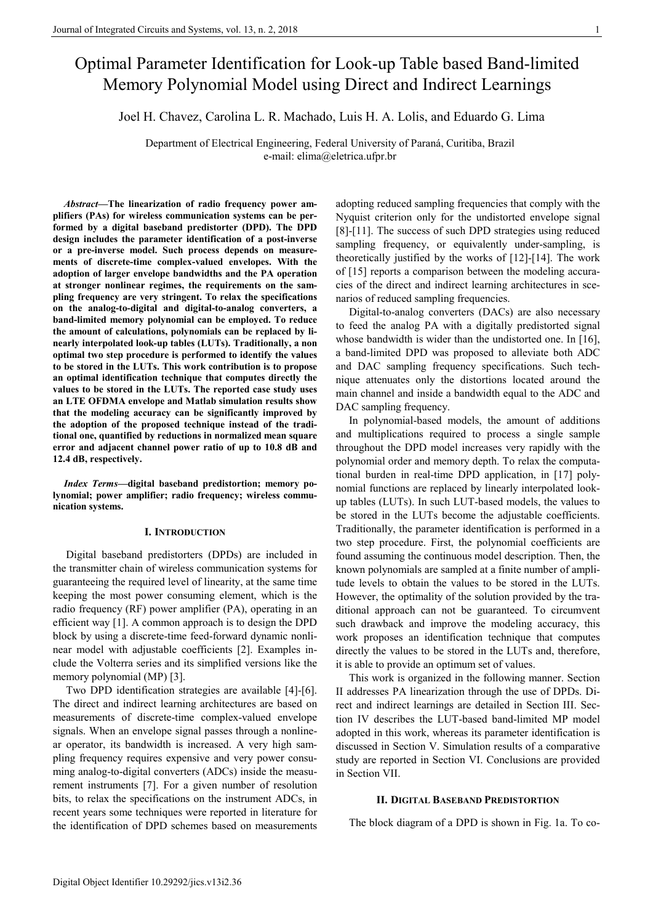# Optimal Parameter Identification for Look-up Table based Band-limited Memory Polynomial Model using Direct and Indirect Learnings

Joel H. Chavez, Carolina L. R. Machado, Luis H. A. Lolis, and Eduardo G. Lima

Department of Electrical Engineering, Federal University of Paraná, Curitiba, Brazil e-mail: elima@eletrica.ufpr.br

*Abstract***—The linearization of radio frequency power amplifiers (PAs) for wireless communication systems can be performed by a digital baseband predistorter (DPD). The DPD design includes the parameter identification of a post-inverse or a pre-inverse model. Such process depends on measurements of discrete-time complex-valued envelopes. With the adoption of larger envelope bandwidths and the PA operation at stronger nonlinear regimes, the requirements on the sampling frequency are very stringent. To relax the specifications on the analog-to-digital and digital-to-analog converters, a band-limited memory polynomial can be employed. To reduce the amount of calculations, polynomials can be replaced by linearly interpolated look-up tables (LUTs). Traditionally, a non optimal two step procedure is performed to identify the values to be stored in the LUTs. This work contribution is to propose an optimal identification technique that computes directly the values to be stored in the LUTs. The reported case study uses an LTE OFDMA envelope and Matlab simulation results show that the modeling accuracy can be significantly improved by the adoption of the proposed technique instead of the traditional one, quantified by reductions in normalized mean square error and adjacent channel power ratio of up to 10.8 dB and 12.4 dB, respectively.** 

*Index Terms***—digital baseband predistortion; memory polynomial; power amplifier; radio frequency; wireless communication systems.** 

## **I. INTRODUCTION**

Digital baseband predistorters (DPDs) are included in the transmitter chain of wireless communication systems for guaranteeing the required level of linearity, at the same time keeping the most power consuming element, which is the radio frequency (RF) power amplifier (PA), operating in an efficient way [1]. A common approach is to design the DPD block by using a discrete-time feed-forward dynamic nonlinear model with adjustable coefficients [2]. Examples include the Volterra series and its simplified versions like the memory polynomial (MP) [3].

Two DPD identification strategies are available [4]-[6]. The direct and indirect learning architectures are based on measurements of discrete-time complex-valued envelope signals. When an envelope signal passes through a nonlinear operator, its bandwidth is increased. A very high sampling frequency requires expensive and very power consuming analog-to-digital converters (ADCs) inside the measurement instruments [7]. For a given number of resolution bits, to relax the specifications on the instrument ADCs, in recent years some techniques were reported in literature for the identification of DPD schemes based on measurements adopting reduced sampling frequencies that comply with the Nyquist criterion only for the undistorted envelope signal [8]-[11]. The success of such DPD strategies using reduced sampling frequency, or equivalently under-sampling, is theoretically justified by the works of [12]-[14]. The work of [15] reports a comparison between the modeling accuracies of the direct and indirect learning architectures in scenarios of reduced sampling frequencies.

Digital-to-analog converters (DACs) are also necessary to feed the analog PA with a digitally predistorted signal whose bandwidth is wider than the undistorted one. In [16], a band-limited DPD was proposed to alleviate both ADC and DAC sampling frequency specifications. Such technique attenuates only the distortions located around the main channel and inside a bandwidth equal to the ADC and DAC sampling frequency.

In polynomial-based models, the amount of additions and multiplications required to process a single sample throughout the DPD model increases very rapidly with the polynomial order and memory depth. To relax the computational burden in real-time DPD application, in [17] polynomial functions are replaced by linearly interpolated lookup tables (LUTs). In such LUT-based models, the values to be stored in the LUTs become the adjustable coefficients. Traditionally, the parameter identification is performed in a two step procedure. First, the polynomial coefficients are found assuming the continuous model description. Then, the known polynomials are sampled at a finite number of amplitude levels to obtain the values to be stored in the LUTs. However, the optimality of the solution provided by the traditional approach can not be guaranteed. To circumvent such drawback and improve the modeling accuracy, this work proposes an identification technique that computes directly the values to be stored in the LUTs and, therefore, it is able to provide an optimum set of values.

This work is organized in the following manner. Section II addresses PA linearization through the use of DPDs. Direct and indirect learnings are detailed in Section III. Section IV describes the LUT-based band-limited MP model adopted in this work, whereas its parameter identification is discussed in Section V. Simulation results of a comparative study are reported in Section VI. Conclusions are provided in Section VII.

## **II. DIGITAL BASEBAND PREDISTORTION**

The block diagram of a DPD is shown in Fig. 1a. To co-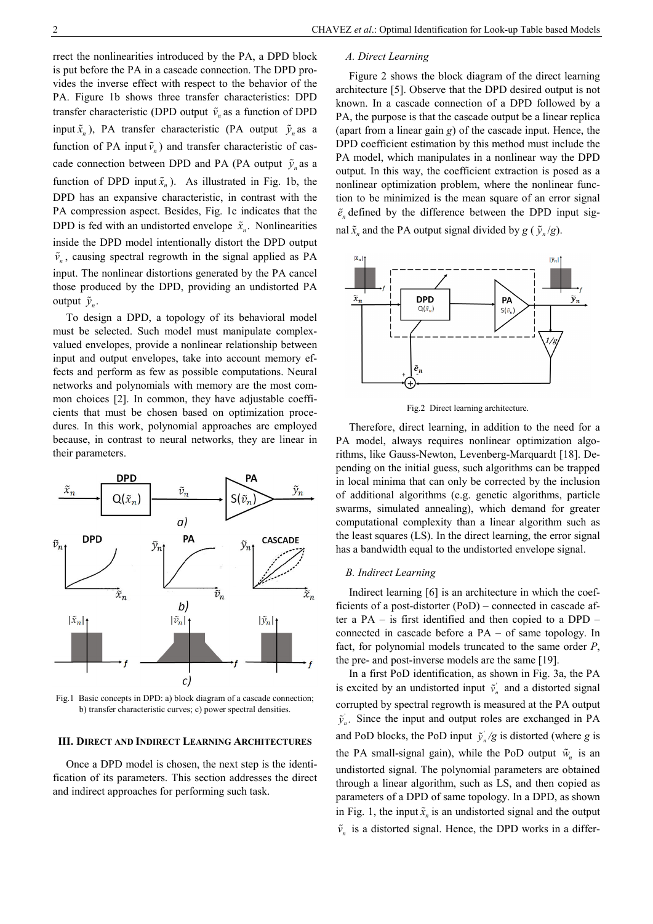rrect the nonlinearities introduced by the PA, a DPD block is put before the PA in a cascade connection. The DPD provides the inverse effect with respect to the behavior of the PA. Figure 1b shows three transfer characteristics: DPD transfer characteristic (DPD output  $\tilde{v}_n$  as a function of DPD input  $\tilde{x}_n$ ), PA transfer characteristic (PA output  $\tilde{y}_n$  as a function of PA input  $\tilde{v}_n$ ) and transfer characteristic of cascade connection between DPD and PA (PA output  $\tilde{y}_n$  as a function of DPD input  $\tilde{x}_n$ ). As illustrated in Fig. 1b, the DPD has an expansive characteristic, in contrast with the PA compression aspect. Besides, Fig. 1c indicates that the DPD is fed with an undistorted envelope  $\tilde{x}_n$ . Nonlinearities inside the DPD model intentionally distort the DPD output  $\tilde{v}_n$ , causing spectral regrowth in the signal applied as PA input. The nonlinear distortions generated by the PA cancel those produced by the DPD, providing an undistorted PA output  $\tilde{y}_n$ .

To design a DPD, a topology of its behavioral model must be selected. Such model must manipulate complexvalued envelopes, provide a nonlinear relationship between input and output envelopes, take into account memory effects and perform as few as possible computations. Neural networks and polynomials with memory are the most common choices [2]. In common, they have adjustable coefficients that must be chosen based on optimization procedures. In this work, polynomial approaches are employed because, in contrast to neural networks, they are linear in their parameters.



Fig.1 Basic concepts in DPD: a) block diagram of a cascade connection; b) transfer characteristic curves; c) power spectral densities.

## **III. DIRECT AND INDIRECT LEARNING ARCHITECTURES**

Once a DPD model is chosen, the next step is the identification of its parameters. This section addresses the direct and indirect approaches for performing such task.

### *A. Direct Learning*

Figure 2 shows the block diagram of the direct learning architecture [5]. Observe that the DPD desired output is not known. In a cascade connection of a DPD followed by a PA, the purpose is that the cascade output be a linear replica (apart from a linear gain *g*) of the cascade input. Hence, the DPD coefficient estimation by this method must include the PA model, which manipulates in a nonlinear way the DPD output. In this way, the coefficient extraction is posed as a nonlinear optimization problem, where the nonlinear function to be minimized is the mean square of an error signal  $\tilde{e}_n$  defined by the difference between the DPD input signal  $\tilde{x}_n$  and the PA output signal divided by *g* ( $\tilde{y}_n/g$ ).



Fig.2 Direct learning architecture.

Therefore, direct learning, in addition to the need for a PA model, always requires nonlinear optimization algorithms, like Gauss-Newton, Levenberg-Marquardt [18]. Depending on the initial guess, such algorithms can be trapped in local minima that can only be corrected by the inclusion of additional algorithms (e.g. genetic algorithms, particle swarms, simulated annealing), which demand for greater computational complexity than a linear algorithm such as the least squares (LS). In the direct learning, the error signal has a bandwidth equal to the undistorted envelope signal.

## *B. Indirect Learning*

Indirect learning [6] is an architecture in which the coefficients of a post-distorter (PoD) – connected in cascade after a PA – is first identified and then copied to a DPD – connected in cascade before a PA – of same topology. In fact, for polynomial models truncated to the same order *P*, the pre- and post-inverse models are the same [19].

In a first PoD identification, as shown in Fig. 3a, the PA is excited by an undistorted input  $\tilde{v}_n$  and a distorted signal corrupted by spectral regrowth is measured at the PA output  $\tilde{y}_n$ . Since the input and output roles are exchanged in PA and PoD blocks, the PoD input  $\tilde{y}_n/g$  is distorted (where *g* is the PA small-signal gain), while the PoD output  $\tilde{w}_n$  is an undistorted signal. The polynomial parameters are obtained through a linear algorithm, such as LS, and then copied as parameters of a DPD of same topology. In a DPD, as shown in Fig. 1, the input  $\tilde{x}_n$  is an undistorted signal and the output  $\tilde{v}_n$  is a distorted signal. Hence, the DPD works in a differ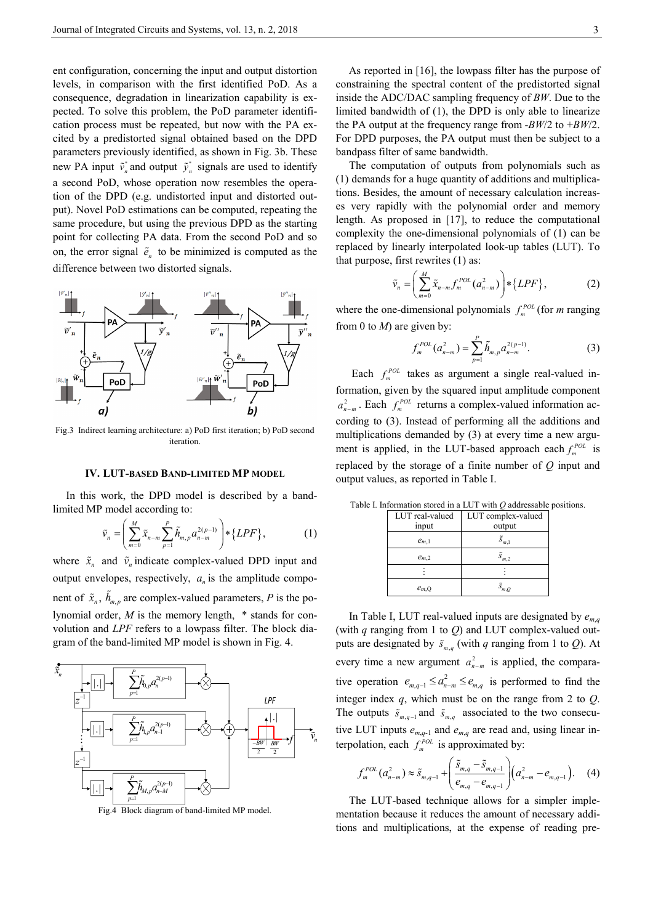ent configuration, concerning the input and output distortion levels, in comparison with the first identified PoD. As a consequence, degradation in linearization capability is expected. To solve this problem, the PoD parameter identification process must be repeated, but now with the PA excited by a predistorted signal obtained based on the DPD parameters previously identified, as shown in Fig. 3b. These new PA input  $\tilde{v}_n^*$  and output  $\tilde{y}_n^*$  signals are used to identify a second PoD, whose operation now resembles the operation of the DPD (e.g. undistorted input and distorted output). Novel PoD estimations can be computed, repeating the same procedure, but using the previous DPD as the starting point for collecting PA data. From the second PoD and so on, the error signal  $\tilde{e}_n$  to be minimized is computed as the difference between two distorted signals.



Fig.3 Indirect learning architecture: a) PoD first iteration; b) PoD second iteration.

## **IV. LUT-BASED BAND-LIMITED MP MODEL**

In this work, the DPD model is described by a bandlimited MP model according to:

$$
\tilde{v}_n = \left( \sum_{m=0}^M \tilde{x}_{n-m} \sum_{p=1}^P \tilde{h}_{m,p} a_{n-m}^{2(p-1)} \right) * \{LPF\},\tag{1}
$$

where  $\tilde{x}_n$  and  $\tilde{v}_n$  indicate complex-valued DPD input and output envelopes, respectively,  $a<sub>n</sub>$  is the amplitude component of  $\tilde{x}_n$ ,  $\tilde{h}_{m,p}$  are complex-valued parameters, *P* is the polynomial order, *M* is the memory length, \* stands for convolution and *LPF* refers to a lowpass filter. The block diagram of the band-limited MP model is shown in Fig. 4.



Fig.4 Block diagram of band-limited MP model.

As reported in [16], the lowpass filter has the purpose of constraining the spectral content of the predistorted signal inside the ADC/DAC sampling frequency of *BW*. Due to the limited bandwidth of (1), the DPD is only able to linearize the PA output at the frequency range from -*BW*/2 to +*BW*/2. For DPD purposes, the PA output must then be subject to a bandpass filter of same bandwidth.

The computation of outputs from polynomials such as (1) demands for a huge quantity of additions and multiplications. Besides, the amount of necessary calculation increases very rapidly with the polynomial order and memory length. As proposed in [17], to reduce the computational complexity the one-dimensional polynomials of (1) can be replaced by linearly interpolated look-up tables (LUT). To that purpose, first rewrites (1) as:

$$
\tilde{v}_n = \left(\sum_{m=0}^M \tilde{x}_{n-m} f_m^{POL}(a_{n-m}^2)\right) * \{LPF\},\tag{2}
$$

where the one-dimensional polynomials  $f_m^{POL}$  (for *m* ranging from 0 to *M*) are given by:

$$
f_m^{POL}(a_{n-m}^2) = \sum_{p=1}^{P} \tilde{h}_{m,p} a_{n-m}^{2(p-1)}.
$$
 (3)

Each  $f_m^{POL}$  takes as argument a single real-valued information, given by the squared input amplitude component  $a_{n-m}^2$ . Each  $f_m^{POL}$  returns a complex-valued information according to (3). Instead of performing all the additions and multiplications demanded by (3) at every time a new argument is applied, in the LUT-based approach each  $f_m^{POL}$  is replaced by the storage of a finite number of *Q* input and output values, as reported in Table I.

|  |  |  |  |  |  | Table I. Information stored in a LUT with $Q$ addressable positions. |  |
|--|--|--|--|--|--|----------------------------------------------------------------------|--|
|  |  |  |  |  |  |                                                                      |  |

| LUT real-valued | LUT complex-valued   |  |  |  |  |
|-----------------|----------------------|--|--|--|--|
| input           | output               |  |  |  |  |
| $e_{m,1}$       | $\tilde{S}_{m,1}$    |  |  |  |  |
| $e_{m,2}$       | $\overline{S}_{m,2}$ |  |  |  |  |
|                 |                      |  |  |  |  |
| $e_{m,Q}$       | $\tilde{S}_{m}$ 0    |  |  |  |  |

In Table I, LUT real-valued inputs are designated by  $e_{m,q}$ (with *q* ranging from 1 to *Q*) and LUT complex-valued outputs are designated by  $\tilde{s}_{m,q}$  (with *q* ranging from 1 to *Q*). At every time a new argument  $a_{n-m}^2$  is applied, the comparative operation  $e_{m,q-1} \le a_{n-m}^2 \le e_{m,q}$  is performed to find the integer index *q*, which must be on the range from 2 to *Q*. The outputs  $\tilde{s}_{m,q-1}$  and  $\tilde{s}_{m,q}$  associated to the two consecutive LUT inputs  $e_{m,q-1}$  and  $e_{m,q}$  are read and, using linear interpolation, each  $f_m^{POL}$  is approximated by:

$$
f_m^{POL}(a_{n-m}^2) \approx \tilde{s}_{m,q-1} + \left(\frac{\tilde{s}_{m,q} - \tilde{s}_{m,q-1}}{e_{m,q} - e_{m,q-1}}\right) (a_{n-m}^2 - e_{m,q-1}). \quad (4)
$$

The LUT-based technique allows for a simpler implementation because it reduces the amount of necessary additions and multiplications, at the expense of reading pre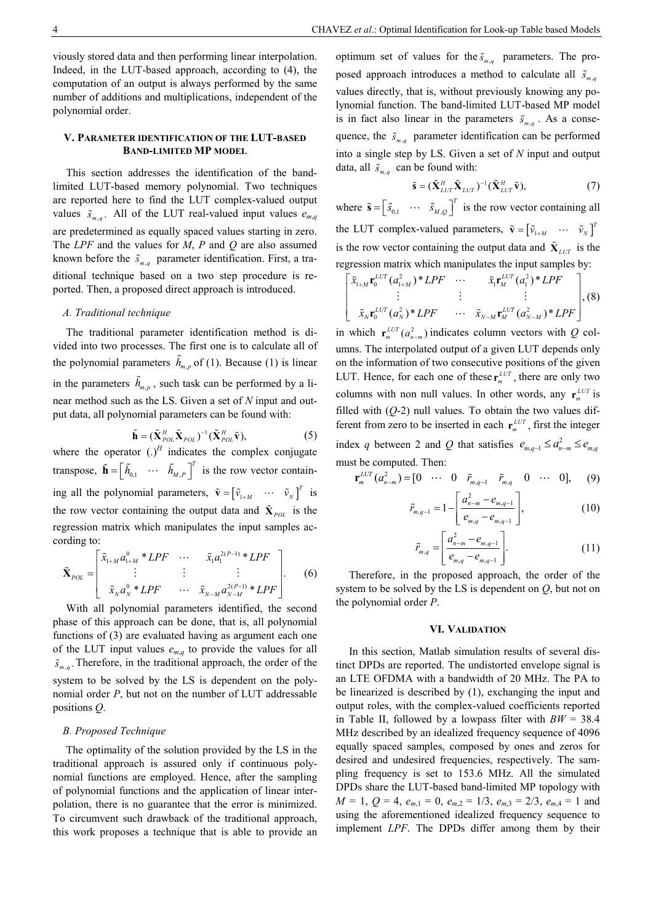viously stored data and then performing linear interpolation. Indeed, in the LUT-based approach, according to (4), the computation of an output is always performed by the same number of additions and multiplications, independent of the polynomial order.

# **V. PARAMETER IDENTIFICATION OF THE LUT-BASED BAND-LIMITED MP MODEL**

This section addresses the identification of the bandlimited LUT-based memory polynomial. Two techniques are reported here to find the LUT complex-valued output values  $\tilde{s}_{m,q}$ . All of the LUT real-valued input values  $e_{m,q}$ are predetermined as equally spaced values starting in zero. The *LPF* and the values for *M*, *P* and *Q* are also assumed known before the  $\tilde{s}_{m,q}$  parameter identification. First, a traditional technique based on a two step procedure is reported. Then, a proposed direct approach is introduced.

### *A. Traditional technique*

The traditional parameter identification method is divided into two processes. The first one is to calculate all of the polynomial parameters  $\tilde{h}_{m,p}$  of (1). Because (1) is linear in the parameters  $\tilde{h}_{m,p}$ , such task can be performed by a linear method such as the LS. Given a set of *N* input and output data, all polynomial parameters can be found with:

$$
\tilde{\mathbf{h}} = (\tilde{\mathbf{X}}_{\text{POL}}^H \tilde{\mathbf{X}}_{\text{POL}})^{-1} (\tilde{\mathbf{X}}_{\text{POL}}^H \tilde{\mathbf{v}}),
$$
\n(5)

where the operator  $(.)^H$  indicates the complex conjugate transpose,  $\tilde{\mathbf{h}} = \begin{bmatrix} \tilde{h}_{0,1} & \cdots & \tilde{h}_{M,P} \end{bmatrix}^T$  is the row vector containing all the polynomial parameters,  $\tilde{\mathbf{v}} = \begin{bmatrix} \tilde{v}_{1+M} & \cdots & \tilde{v}_{N} \end{bmatrix}^T$  is the row vector containing the output data and  $\tilde{\mathbf{X}}_{pot}$  is the regression matrix which manipulates the input samples according to:

$$
\tilde{\mathbf{X}}_{POL} = \begin{bmatrix} \tilde{x}_{1+M} a_{1+M}^{0} * LPF & \cdots & \tilde{x}_1 a_1^{2(P-1)} * LPF \\ \vdots & \vdots & \vdots \\ \tilde{x}_N a_N^{0} * LPF & \cdots & \tilde{x}_{N-M} a_{N-M}^{2(P-1)} * LPF \end{bmatrix} .
$$
 (6)

With all polynomial parameters identified, the second phase of this approach can be done, that is, all polynomial functions of (3) are evaluated having as argument each one of the LUT input values  $e_{m,q}$  to provide the values for all  $\tilde{s}_{m,q}$ . Therefore, in the traditional approach, the order of the system to be solved by the LS is dependent on the polynomial order *P*, but not on the number of LUT addressable positions *Q*.

# *B. Proposed Technique*

The optimality of the solution provided by the LS in the traditional approach is assured only if continuous polynomial functions are employed. Hence, after the sampling of polynomial functions and the application of linear interpolation, there is no guarantee that the error is minimized. To circumvent such drawback of the traditional approach, this work proposes a technique that is able to provide an

optimum set of values for the  $\tilde{s}_{m,q}$  parameters. The proposed approach introduces a method to calculate all  $\tilde{s}_{m,q}$ values directly, that is, without previously knowing any polynomial function. The band-limited LUT-based MP model is in fact also linear in the parameters  $\tilde{s}_{m,q}$ . As a consequence, the  $\tilde{s}_{m,q}$  parameter identification can be performed into a single step by LS. Given a set of *N* input and output data, all  $\tilde{s}_{m,q}$  can be found with:

$$
\tilde{\mathbf{s}} = (\tilde{\mathbf{X}}_{LUT}^H \tilde{\mathbf{X}}_{LUT})^{-1} (\tilde{\mathbf{X}}_{LUT}^H \tilde{\mathbf{v}}),
$$
\n(7)

where  $\tilde{\mathbf{s}} = \begin{bmatrix} \tilde{s}_{0,1} & \cdots & \tilde{s}_{M,Q} \end{bmatrix}^T$  is the row vector containing all the LUT complex-valued parameters,  $\tilde{\mathbf{v}} = \begin{bmatrix} \tilde{v}_{1+M} & \cdots & \tilde{v}_{N} \end{bmatrix}^T$ is the row vector containing the output data and  $\tilde{\mathbf{X}}_{LUT}$  is the regression matrix which manipulates the input samples by:

$$
\begin{bmatrix} \tilde{x}_{1+M} \mathbf{r}_{0}^{LUT}(a_{1+M}^{2}) * LPF & \cdots & \tilde{x}_{1} \mathbf{r}_{M}^{LUT}(a_{1}^{2}) * LPF \\ \vdots & \vdots & \vdots \\ \tilde{x}_{N} \mathbf{r}_{0}^{LUT}(a_{N}^{2}) * LPF & \cdots & \tilde{x}_{N-M} \mathbf{r}_{M}^{LUT}(a_{N-M}^{2}) * LPF \end{bmatrix}, (8)
$$

in which  $\mathbf{r}_{m}^{LUT}(a_{n-m}^2)$  indicates column vectors with *Q* columns. The interpolated output of a given LUT depends only on the information of two consecutive positions of the given LUT. Hence, for each one of these  $\mathbf{r}_{m}^{LUT}$ , there are only two columns with non null values. In other words, any  $\mathbf{r}_m^{LUT}$  is filled with (*Q*-2) null values. To obtain the two values different from zero to be inserted in each  $\mathbf{r}_{m}^{LUT}$ , first the integer index q between 2 and Q that satisfies  $e_{m,q-1} \le a_{n-m}^2 \le e_{m,q}$ must be computed. Then:

$$
\mathbf{r}_{m}^{LUT}(a_{n-m}^{2}) = [0 \cdots 0 \tilde{r}_{m,q-1} \tilde{r}_{m,q} 0 \cdots 0], \quad (9)
$$

$$
\tilde{r}_{m,q-1} = 1 - \left[ \frac{a_{n-m}^2 - e_{m,q-1}}{e_{m,q} - e_{m,q-1}} \right],
$$
\n(10)

$$
\tilde{r}_{m,q} = \left[ \frac{a_{n-m}^2 - e_{m,q-1}}{e_{m,q} - e_{m,q-1}} \right].
$$
\n(11)

Therefore, in the proposed approach, the order of the system to be solved by the LS is dependent on  $Q$ , but not on the polynomial order *P*.

## **VI. VALIDATION**

In this section, Matlab simulation results of several distinct DPDs are reported. The undistorted envelope signal is an LTE OFDMA with a bandwidth of 20 MHz. The PA to be linearized is described by (1), exchanging the input and output roles, with the complex-valued coefficients reported in Table II, followed by a lowpass filter with *BW* = 38.4 MHz described by an idealized frequency sequence of 4096 equally spaced samples, composed by ones and zeros for desired and undesired frequencies, respectively. The sampling frequency is set to 153.6 MHz. All the simulated DPDs share the LUT-based band-limited MP topology with  $M = 1, Q = 4, e_{m,1} = 0, e_{m,2} = 1/3, e_{m,3} = 2/3, e_{m,4} = 1$  and using the aforementioned idealized frequency sequence to implement *LPF*. The DPDs differ among them by their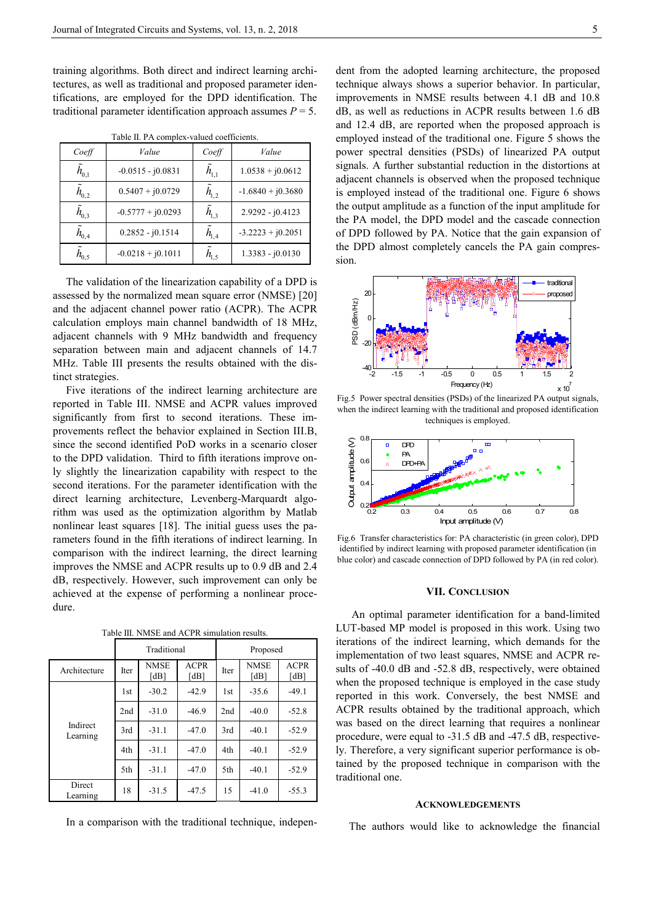training algorithms. Both direct and indirect learning architectures, as well as traditional and proposed parameter identifications, are employed for the DPD identification. The traditional parameter identification approach assumes  $P = 5$ .

Table II. PA complex-valued coefficients.

| Coeff                | Value               | Coeff                | Value               |  |  |
|----------------------|---------------------|----------------------|---------------------|--|--|
| $\tilde{h}_{0,1}$    | $-0.0515 - j0.0831$ | $\tilde{h}_{1,1}$    | $1.0538 + j0.0612$  |  |  |
| $h_{0,2}$            | $0.5407 + j0.0729$  | $h_{1,2}$            | $-1.6840 + j0.3680$ |  |  |
| $\tilde{h}_{0,3}$    | $-0.5777 + j0.0293$ | $h_{1,3}$            | 2.9292 - j0.4123    |  |  |
| $\tilde{h}_{_{0,4}}$ | $0.2852 - j0.1514$  | $\tilde{h}_{_{1,4}}$ | $-3.2223 + j0.2051$ |  |  |
| $\tilde{h}_{_{0.5}}$ | $-0.0218 + j0.1011$ | $\tilde{h}_{1.5}$    | $1.3383 - j0.0130$  |  |  |

The validation of the linearization capability of a DPD is assessed by the normalized mean square error (NMSE) [20] and the adjacent channel power ratio (ACPR). The ACPR calculation employs main channel bandwidth of 18 MHz, adjacent channels with 9 MHz bandwidth and frequency separation between main and adjacent channels of 14.7 MHz. Table III presents the results obtained with the distinct strategies.

Five iterations of the indirect learning architecture are reported in Table III. NMSE and ACPR values improved significantly from first to second iterations. These improvements reflect the behavior explained in Section III.B, since the second identified PoD works in a scenario closer to the DPD validation. Third to fifth iterations improve only slightly the linearization capability with respect to the second iterations. For the parameter identification with the direct learning architecture, Levenberg-Marquardt algorithm was used as the optimization algorithm by Matlab nonlinear least squares [18]. The initial guess uses the parameters found in the fifth iterations of indirect learning. In comparison with the indirect learning, the direct learning improves the NMSE and ACPR results up to 0.9 dB and 2.4 dB, respectively. However, such improvement can only be achieved at the expense of performing a nonlinear procedure.

|                      |                 | Traditional         |                     | Proposed    |                     |                     |  |
|----------------------|-----------------|---------------------|---------------------|-------------|---------------------|---------------------|--|
| Architecture         | <b>Iter</b>     | <b>NMSE</b><br>[dB] | <b>ACPR</b><br>[dB] | <b>Iter</b> | <b>NMSE</b><br>[dB] | <b>ACPR</b><br>[dB] |  |
|                      | 1 <sub>st</sub> | $-30.2$             | $-42.9$             | 1st         | $-35.6$             | $-49.1$             |  |
|                      | 2nd             | $-31.0$             | $-46.9$             | 2nd         | $-40.0$             | $-52.8$             |  |
| Indirect<br>Learning | 3rd             | $-31.1$             | $-47.0$             | 3rd         | $-40.1$             | $-52.9$             |  |
|                      | 4th             | $-31.1$             | $-47.0$             | 4th         | $-40.1$             | $-52.9$             |  |
|                      | 5th             | $-31.1$             | $-47.0$             | 5th         | $-40.1$             | $-52.9$             |  |
| Direct<br>Learning   | 18              | $-31.5$             | $-47.5$             | 15          | $-41.0$             | $-55.3$             |  |

Table III. NMSE and ACPR simulation results.

In a comparison with the traditional technique, indepen-

dent from the adopted learning architecture, the proposed technique always shows a superior behavior. In particular, improvements in NMSE results between 4.1 dB and 10.8 dB, as well as reductions in ACPR results between 1.6 dB and 12.4 dB, are reported when the proposed approach is employed instead of the traditional one. Figure 5 shows the power spectral densities (PSDs) of linearized PA output signals. A further substantial reduction in the distortions at adjacent channels is observed when the proposed technique is employed instead of the traditional one. Figure 6 shows the output amplitude as a function of the input amplitude for the PA model, the DPD model and the cascade connection of DPD followed by PA. Notice that the gain expansion of the DPD almost completely cancels the PA gain compression.



Fig.5 Power spectral densities (PSDs) of the linearized PA output signals, when the indirect learning with the traditional and proposed identification techniques is employed.



Fig.6 Transfer characteristics for: PA characteristic (in green color), DPD identified by indirect learning with proposed parameter identification (in blue color) and cascade connection of DPD followed by PA (in red color).

## **VII. CONCLUSION**

 An optimal parameter identification for a band-limited LUT-based MP model is proposed in this work. Using two iterations of the indirect learning, which demands for the implementation of two least squares, NMSE and ACPR results of -40.0 dB and -52.8 dB, respectively, were obtained when the proposed technique is employed in the case study reported in this work. Conversely, the best NMSE and ACPR results obtained by the traditional approach, which was based on the direct learning that requires a nonlinear procedure, were equal to -31.5 dB and -47.5 dB, respectively. Therefore, a very significant superior performance is obtained by the proposed technique in comparison with the traditional one.

## **ACKNOWLEDGEMENTS**

The authors would like to acknowledge the financial